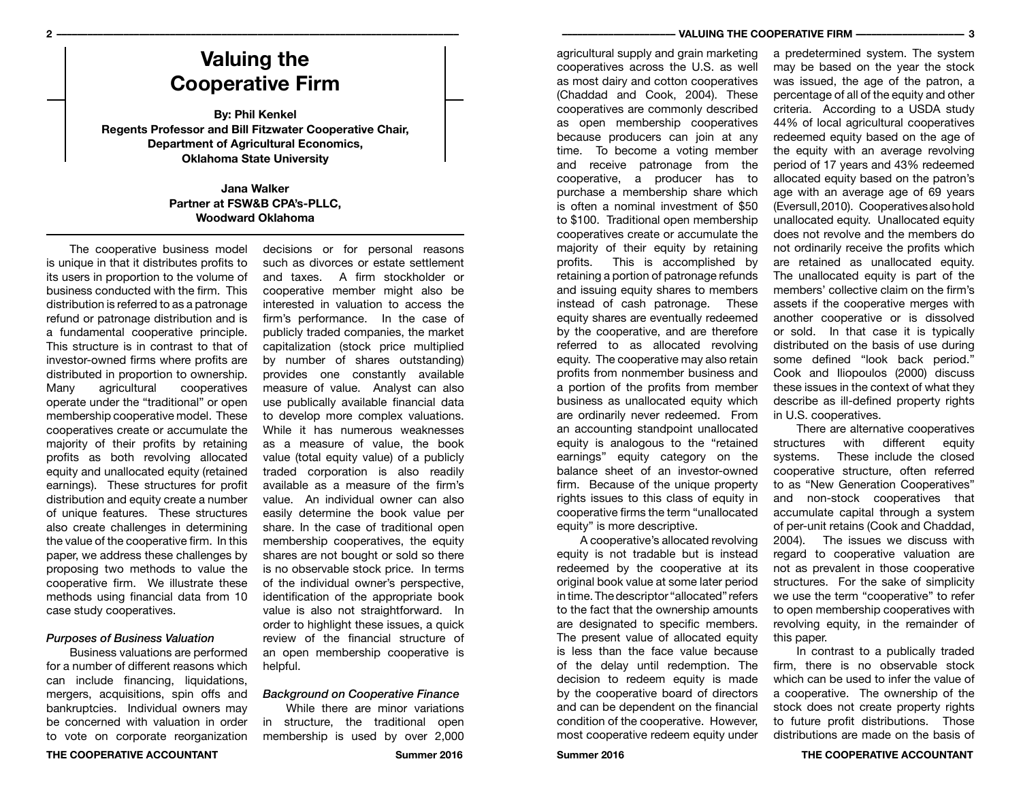# **Valuing the Cooperative Firm**

**By: Phil Kenkel Regents Professor and Bill Fitzwater Cooperative Chair, Department of Agricultural Economics, Oklahoma State University**

## **Jana Walker Partner at FSW&B CPA's-PLLC, Woodward Oklahoma**

The cooperative business model is unique in that it distributes profits to its users in proportion to the volume of business conducted with the firm. This distribution is referred to as a patronage refund or patronage distribution and is a fundamental cooperative principle. This structure is in contrast to that of investor-owned firms where profits are distributed in proportion to ownership.<br>Many agricultural cooperatives Many agricultural cooperatives operate under the "traditional" or open membership cooperative model. These cooperatives create or accumulate the majority of their profits by retaining profits as both revolving allocated equity and unallocated equity (retained earnings). These structures for profit distribution and equity create a number of unique features. These structures also create challenges in determining the value of the cooperative firm. In this paper, we address these challenges by proposing two methods to value the cooperative firm. We illustrate these methods using financial data from 10 case study cooperatives.

### *Purposes of Business Valuation*

Business valuations are performed for a number of different reasons which can include financing, liquidations, mergers, acquisitions, spin offs and bankruptcies. Individual owners may be concerned with valuation in order to vote on corporate reorganization of the individual owner's perspective, identification of the appropriate book value is also not straightforward. In order to highlight these issues, a quick review of the financial structure of an open membership cooperative is *Background on Cooperative Finance* While there are minor variations in structure, the traditional open membership is used by over 2,000

helpful.

decisions or for personal reasons such as divorces or estate settlement and taxes. A firm stockholder or cooperative member might also be interested in valuation to access the firm's performance. In the case of publicly traded companies, the market capitalization (stock price multiplied by number of shares outstanding) provides one constantly available measure of value. Analyst can also use publically available financial data to develop more complex valuations. While it has numerous weaknesses as a measure of value, the book value (total equity value) of a publicly traded corporation is also readily available as a measure of the firm's value. An individual owner can also easily determine the book value per share. In the case of traditional open membership cooperatives, the equity shares are not bought or sold so there is no observable stock price. In terms

agricultural supply and grain marketing cooperatives across the U.S. as well as most dairy and cotton cooperatives (Chaddad and Cook, 2004). These cooperatives are commonly described as open membership cooperatives because producers can join at any time. To become a voting member and receive patronage from the cooperative, a producer has to purchase a membership share which is often a nominal investment of \$50 to \$100. Traditional open membership cooperatives create or accumulate the majority of their equity by retaining profits. This is accomplished by retaining a portion of patronage refunds and issuing equity shares to members instead of cash patronage. These equity shares are eventually redeemed by the cooperative, and are therefore referred to as allocated revolving equity. The cooperative may also retain profits from nonmember business and a portion of the profits from member business as unallocated equity which are ordinarily never redeemed. From an accounting standpoint unallocated equity is analogous to the "retained earnings" equity category on the balance sheet of an investor-owned firm. Because of the unique property rights issues to this class of equity in cooperative firms the term "unallocated equity" is more descriptive.

A cooperative's allocated revolving equity is not tradable but is instead redeemed by the cooperative at its original book value at some later period in time. The descriptor "allocated" refers to the fact that the ownership amounts are designated to specific members. The present value of allocated equity is less than the face value because of the delay until redemption. The decision to redeem equity is made by the cooperative board of directors and can be dependent on the financial condition of the cooperative. However, most cooperative redeem equity under may be based on the year the stock was issued, the age of the patron, a percentage of all of the equity and other criteria. According to a USDA study 44% of local agricultural cooperatives redeemed equity based on the age of the equity with an average revolving period of 17 years and 43% redeemed allocated equity based on the patron's age with an average age of 69 years (Eversull, 2010). Cooperatives also hold unallocated equity. Unallocated equity does not revolve and the members do not ordinarily receive the profits which are retained as unallocated equity. The unallocated equity is part of the members' collective claim on the firm's assets if the cooperative merges with another cooperative or is dissolved or sold. In that case it is typically distributed on the basis of use during some defined "look back period." Cook and Iliopoulos (2000) discuss these issues in the context of what they describe as ill-defined property rights in U.S. cooperatives.

a predetermined system. The system

There are alternative cooperatives structures with different equity<br>systems. These include the closed These include the closed cooperative structure, often referred to as "New Generation Cooperatives" and non-stock cooperatives that accumulate capital through a system of per-unit retains (Cook and Chaddad, 2004). The issues we discuss with regard to cooperative valuation are not as prevalent in those cooperative structures. For the sake of simplicity we use the term "cooperative" to refer to open membership cooperatives with revolving equity, in the remainder of this paper.

In contrast to a publically traded firm, there is no observable stock which can be used to infer the value of a cooperative. The ownership of the stock does not create property rights to future profit distributions. Those distributions are made on the basis of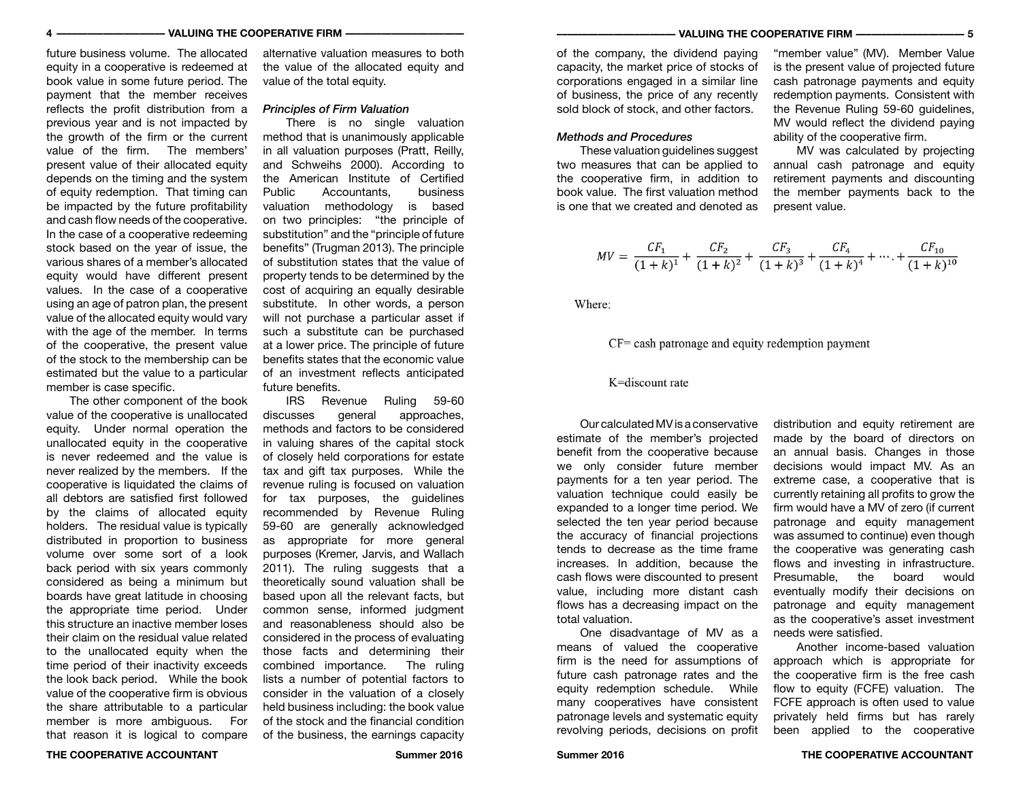future business volume. The allocated equity in a cooperative is redeemed at book value in some future period. The payment that the member receives reflects the profit distribution from a previous year and is not impacted by the growth of the firm or the current value of the firm. The members' present value of their allocated equity depends on the timing and the system of equity redemption. That timing can be impacted by the future profitability and cash flow needs of the cooperative. In the case of a cooperative redeeming stock based on the year of issue, the various shares of a member's allocated equity would have different present values. In the case of a cooperative using an age of patron plan, the present value of the allocated equity would vary with the age of the member. In terms of the cooperative, the present value of the stock to the membership can be estimated but the value to a particular member is case specific.

The other component of the book value of the cooperative is unallocated equity. Under normal operation the unallocated equity in the cooperative is never redeemed and the value is never realized by the members. If the cooperative is liquidated the claims of all debtors are satisfied first followed by the claims of allocated equity holders. The residual value is typically distributed in proportion to business volume over some sort of a look back period with six years commonly considered as being a minimum but boards have great latitude in choosing the appropriate time period. Under this structure an inactive member loses their claim on the residual value related to the unallocated equity when the time period of their inactivity exceeds the look back period. While the book value of the cooperative firm is obvious the share attributable to a particular member is more ambiguous. For that reason it is logical to compare

alternative valuation measures to both the value of the allocated equity and value of the total equity.

### *Principles of Firm Valuation*

There is no single valuation method that is unanimously applicable in all valuation purposes (Pratt, Reilly, and Schweihs 2000). According to the American Institute of Certified<br>Public Accountants business Accountants valuation methodology is based on two principles: "the principle of substitution" and the "principle of future benefits" (Trugman 2013). The principle of substitution states that the value of property tends to be determined by the cost of acquiring an equally desirable substitute. In other words, a person will not purchase a particular asset if such a substitute can be purchased at a lower price. The principle of future benefits states that the economic value of an investment reflects anticipated future benefits.

IRS Revenue Ruling 59-60<br>discusses general approaches. approaches. methods and factors to be considered in valuing shares of the capital stock of closely held corporations for estate tax and gift tax purposes. While the revenue ruling is focused on valuation for tax purposes, the guidelines recommended by Revenue Ruling 59-60 are generally acknowledged as appropriate for more general purposes (Kremer, Jarvis, and Wallach 2011). The ruling suggests that a theoretically sound valuation shall be based upon all the relevant facts, but common sense, informed judgment and reasonableness should also be considered in the process of evaluating those facts and determining their combined importance. The ruling lists a number of potential factors to consider in the valuation of a closely held business including: the book value of the stock and the financial condition of the business, the earnings capacity

of the company, the dividend paying capacity, the market price of stocks of corporations engaged in a similar line of business, the price of any recently sold block of stock, and other factors.

### *Methods and Procedures*

These valuation guidelines suggest two measures that can be applied to the cooperative firm, in addition to book value. The first valuation method is one that we created and denoted as

"member value" (MV). Member Value is the present value of projected future cash patronage payments and equity redemption payments. Consistent with the Revenue Ruling 59-60 guidelines, MV would reflect the dividend paying ability of the cooperative firm.

MV was calculated by projecting annual cash patronage and equity retirement payments and discounting the member payments back to the present value.

$$
MV = \frac{CF_1}{(1+k)^1} + \frac{CF_2}{(1+k)^2} + \frac{CF_3}{(1+k)^3} + \frac{CF_4}{(1+k)^4} + \dots + \frac{CF_{10}}{(1+k)^{10}}
$$

Where:

### $CF =$  cash patronage and equity redemption payment

### K=discount rate

Our calculated MV is a conservative estimate of the member's projected benefit from the cooperative because we only consider future member payments for a ten year period. The valuation technique could easily be expanded to a longer time period. We selected the ten year period because the accuracy of financial projections tends to decrease as the time frame increases. In addition, because the cash flows were discounted to present value, including more distant cash flows has a decreasing impact on the total valuation.

One disadvantage of MV as a means of valued the cooperative firm is the need for assumptions of future cash patronage rates and the equity redemption schedule. While many cooperatives have consistent patronage levels and systematic equity revolving periods, decisions on profit distribution and equity retirement are made by the board of directors on an annual basis. Changes in those decisions would impact MV. As an extreme case, a cooperative that is currently retaining all profits to grow the firm would have a MV of zero (if current patronage and equity management was assumed to continue) even though the cooperative was generating cash flows and investing in infrastructure. Presumable, the board would eventually modify their decisions on patronage and equity management as the cooperative's asset investment needs were satisfied.

Another income-based valuation approach which is appropriate for the cooperative firm is the free cash flow to equity (FCFE) valuation. The FCFE approach is often used to value privately held firms but has rarely been applied to the cooperative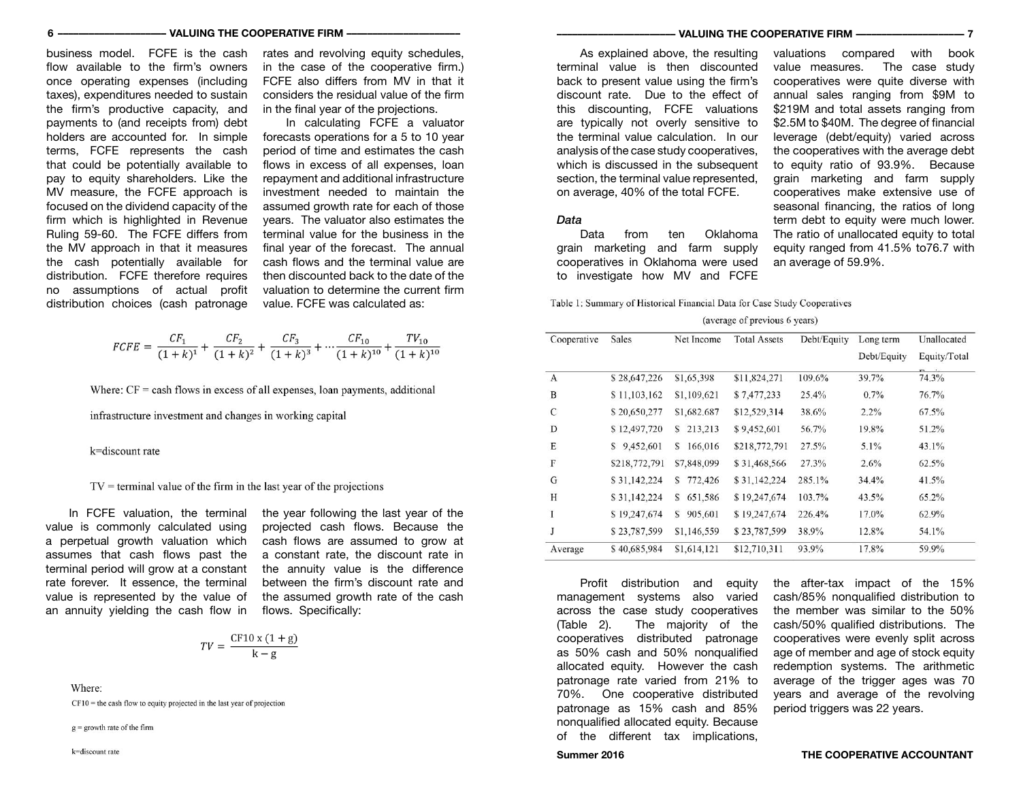business model. FCFE is the cash flow available to the firm's owners once operating expenses (including taxes), expenditures needed to sustain the firm's productive capacity, and payments to (and receipts from) debt holders are accounted for. In simple terms, FCFE represents the cash that could be potentially available to pay to equity shareholders. Like the MV measure, the FCFE approach is focused on the dividend capacity of the firm which is highlighted in Revenue Ruling 59-60. The FCFE differs from the MV approach in that it measures the cash potentially available for distribution. FCFE therefore requires no assumptions of actual profit distribution choices (cash patronage rates and revolving equity schedules, in the case of the cooperative firm.) FCFE also differs from MV in that it considers the residual value of the firm in the final year of the projections.

In calculating FCFE a valuator forecasts operations for a 5 to 10 year period of time and estimates the cash flows in excess of all expenses, loan repayment and additional infrastructure investment needed to maintain the assumed growth rate for each of those years. The valuator also estimates the terminal value for the business in the final year of the forecast. The annual cash flows and the terminal value are then discounted back to the date of the valuation to determine the current firm value. FCFE was calculated as:

$$
FCFE = \frac{CF_1}{(1+k)^1} + \frac{CF_2}{(1+k)^2} + \frac{CF_3}{(1+k)^3} + \dots + \frac{CF_{10}}{(1+k)^{10}} + \frac{TV_{10}}{(1+k)^{10}}
$$

Where:  $CF =$  cash flows in excess of all expenses, loan payments, additional

infrastructure investment and changes in working capital

k=discount rate

 $TV =$  terminal value of the firm in the last year of the projections

In FCFE valuation, the terminal value is commonly calculated using a perpetual growth valuation which assumes that cash flows past the terminal period will grow at a constant rate forever. It essence, the terminal value is represented by the value of an annuity yielding the cash flow in

the year following the last year of the projected cash flows. Because the cash flows are assumed to grow at a constant rate, the discount rate in the annuity value is the difference between the firm's discount rate and the assumed growth rate of the cash flows. Specifically:

$$
TV = \frac{CF10 \times (1 + g)}{k - g}
$$

Where:

 $CF10 =$  the cash flow to equity projected in the last year of projection

 $g =$  growth rate of the firm

As explained above, the resulting terminal value is then discounted back to present value using the firm's discount rate. Due to the effect of this discounting, FCFE valuations are typically not overly sensitive to the terminal value calculation. In our analysis of the case study cooperatives, which is discussed in the subsequent section, the terminal value represented. on average, 40% of the total FCFE.

### *Data*

Data from ten Oklahoma grain marketing and farm supply cooperatives in Oklahoma were used to investigate how MV and FCFE

valuations compared with book value measures. The case study cooperatives were quite diverse with annual sales ranging from \$9M to \$219M and total assets ranging from \$2.5M to \$40M. The degree of financial leverage (debt/equity) varied across the cooperatives with the average debt to equity ratio of 93.9%. Because grain marketing and farm supply cooperatives make extensive use of seasonal financing, the ratios of long term debt to equity were much lower. The ratio of unallocated equity to total equity ranged from 41.5% to76.7 with an average of 59.9%.

Table 1: Summary of Historical Financial Data for Case Study Cooperatives

#### (average of previous 6 years)

| Cooperative | Sales          | Net Income   | <b>Total Assets</b> | Debt/Equity | Long term   | Unallocated  |
|-------------|----------------|--------------|---------------------|-------------|-------------|--------------|
|             |                |              |                     |             | Debt/Equity | Equity/Total |
| A           | \$28,647,226   | \$1,65,398   | \$11,824,271        | 109.6%      | 39.7%       | 74.3%        |
| B           | \$11,103,162   | \$1,109,621  | \$7,477,233         | 25.4%       | 0.7%        | 76.7%        |
| C           | \$20,650,277   | \$1,682.687  | \$12,529,314        | 38.6%       | $2.2\%$     | $67.5\%$     |
| D           | \$12,497,720   | 213,213<br>S | \$9,452,601         | 56.7%       | 19.8%       | 51.2%        |
| E           | 9,452,601<br>S | 166,016<br>S | \$218,772,791       | 27.5%       | 5.1%        | 43.1%        |
| F           | \$218,772,791  | \$7,848,099  | \$31,468,566        | 27.3%       | 2.6%        | 62.5%        |
| G           | \$31,142,224   | 772,426<br>s | \$31,142,224        | 285.1%      | 34.4%       | 41.5%        |
| H           | \$31,142,224   | 651,586<br>S | \$19,247,674        | 103.7%      | 43.5%       | 65.2%        |
| Ι           | \$19,247,674   | 905,601<br>S | \$19,247,674        | 226.4%      | 17.0%       | 62.9%        |
| J           | \$23,787,599   | \$1,146,559  | \$23,787,599        | 38.9%       | 12.8%       | 54.1%        |
| Average     | \$40,685,984   | \$1,614,121  | \$12,710,311        | 93.9%       | 17.8%       | 59.9%        |

Profit distribution and equity management systems also varied across the case study cooperatives<br>(Table 2). The maiority of the The majority of the cooperatives distributed patronage as 50% cash and 50% nonqualified allocated equity. However the cash patronage rate varied from 21% to 70%. One cooperative distributed patronage as 15% cash and 85% nonqualified allocated equity. Because of the different tax implications,

the after-tax impact of the 15% cash/85% nonqualified distribution to the member was similar to the 50% cash/50% qualified distributions. The cooperatives were evenly split across age of member and age of stock equity redemption systems. The arithmetic average of the trigger ages was 70 years and average of the revolving period triggers was 22 years.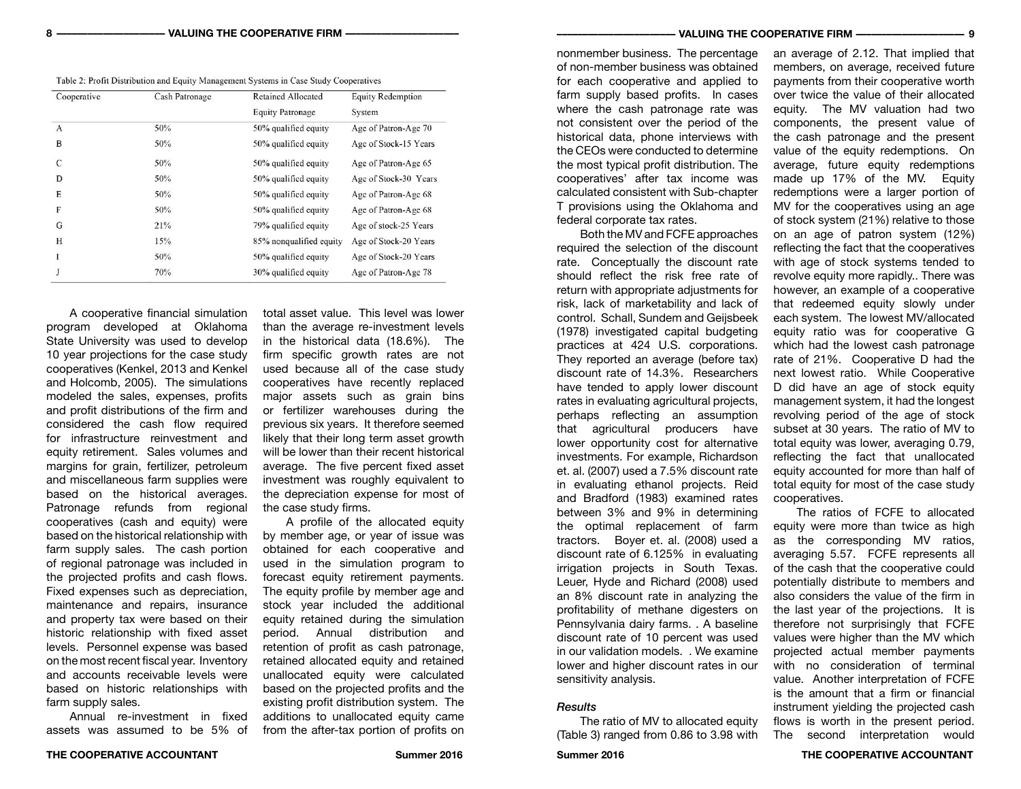| Table 2: Profit Distribution and Equity Management Systems in Case Study Cooperatives |  |  |  |
|---------------------------------------------------------------------------------------|--|--|--|
|---------------------------------------------------------------------------------------|--|--|--|

| Cooperative  | Cash Patronage | <b>Retained Allocated</b> | <b>Equity Redemption</b><br>System |  |
|--------------|----------------|---------------------------|------------------------------------|--|
|              |                | <b>Equity Patronage</b>   |                                    |  |
| $\mathbf{A}$ | 50%            | 50% qualified equity      | Age of Patron-Age 70               |  |
| B            | 50%            | 50% qualified equity      | Age of Stock-15 Years              |  |
| C            | 50%            | 50% qualified equity      | Age of Patron-Age 65               |  |
| D            | 50%            | 50% qualified equity      | Age of Stock-30 Years              |  |
| E            | 50%            | 50% qualified equity      | Age of Patron-Age 68               |  |
| F            | 50%            | 50% qualified equity      | Age of Patron-Age 68               |  |
| G            | 21%            | 79% qualified equity      | Age of stock-25 Years              |  |
| H            | 15%            | 85% nonqualified equity   | Age of Stock-20 Years              |  |
| 1            | 50%            | 50% qualified equity      | Age of Stock-20 Years              |  |
|              | 70%            | 30% qualified equity      | Age of Patron-Age 78               |  |

A cooperative financial simulation program developed at Oklahoma State University was used to develop 10 year projections for the case study cooperatives (Kenkel, 2013 and Kenkel and Holcomb, 2005). The simulations modeled the sales, expenses, profits and profit distributions of the firm and considered the cash flow required for infrastructure reinvestment and equity retirement. Sales volumes and margins for grain, fertilizer, petroleum and miscellaneous farm supplies were based on the historical averages. Patronage refunds from regional cooperatives (cash and equity) were based on the historical relationship with farm supply sales. The cash portion of regional patronage was included in the projected profits and cash flows. Fixed expenses such as depreciation, maintenance and repairs, insurance and property tax were based on their historic relationship with fixed asset levels. Personnel expense was based on the most recent fiscal year. Inventory and accounts receivable levels were based on historic relationships with farm supply sales.

Annual re-investment in fixed assets was assumed to be 5% of total asset value. This level was lower than the average re-investment levels in the historical data (18.6%). The firm specific growth rates are not used because all of the case study cooperatives have recently replaced major assets such as grain bins or fertilizer warehouses during the previous six years. It therefore seemed likely that their long term asset growth will be lower than their recent historical average. The five percent fixed asset investment was roughly equivalent to the depreciation expense for most of the case study firms.

A profile of the allocated equity by member age, or year of issue was obtained for each cooperative and used in the simulation program to forecast equity retirement payments. The equity profile by member age and stock year included the additional equity retained during the simulation period. Annual distribution and retention of profit as cash patronage, retained allocated equity and retained unallocated equity were calculated based on the projected profits and the existing profit distribution system. The additions to unallocated equity came from the after-tax portion of profits on

nonmember business. The percentage of non-member business was obtained for each cooperative and applied to farm supply based profits. In cases where the cash patronage rate was not consistent over the period of the historical data, phone interviews with the CEOs were conducted to determine the most typical profit distribution. The cooperatives' after tax income was calculated consistent with Sub-chapter T provisions using the Oklahoma and federal corporate tax rates.

Both the MV and FCFE approaches required the selection of the discount rate. Conceptually the discount rate should reflect the risk free rate of return with appropriate adjustments for risk, lack of marketability and lack of control. Schall, Sundem and Geijsbeek (1978) investigated capital budgeting practices at 424 U.S. corporations. They reported an average (before tax) discount rate of 14.3%. Researchers have tended to apply lower discount rates in evaluating agricultural projects, perhaps reflecting an assumption that agricultural producers have lower opportunity cost for alternative investments. For example, Richardson et. al. (2007) used a 7.5% discount rate in evaluating ethanol projects. Reid and Bradford (1983) examined rates between 3% and 9% in determining the optimal replacement of farm tractors. Boyer et. al. (2008) used a discount rate of 6.125% in evaluating irrigation projects in South Texas. Leuer, Hyde and Richard (2008) used an 8% discount rate in analyzing the profitability of methane digesters on Pennsylvania dairy farms. . A baseline discount rate of 10 percent was used in our validation models. . We examine lower and higher discount rates in our sensitivity analysis.

#### *Results*

The ratio of MV to allocated equity (Table 3) ranged from 0.86 to 3.98 with

an average of 2.12. That implied that members, on average, received future payments from their cooperative worth over twice the value of their allocated equity. The MV valuation had two components, the present value of the cash patronage and the present value of the equity redemptions. On average, future equity redemptions made up 17% of the MV. Equity redemptions were a larger portion of MV for the cooperatives using an age of stock system (21%) relative to those on an age of patron system (12%) reflecting the fact that the cooperatives with age of stock systems tended to revolve equity more rapidly.. There was however, an example of a cooperative that redeemed equity slowly under each system. The lowest MV/allocated equity ratio was for cooperative G which had the lowest cash patronage rate of 21%. Cooperative D had the next lowest ratio. While Cooperative D did have an age of stock equity management system, it had the longest revolving period of the age of stock subset at 30 years. The ratio of MV to total equity was lower, averaging 0.79, reflecting the fact that unallocated equity accounted for more than half of total equity for most of the case study cooperatives.

The ratios of FCFE to allocated equity were more than twice as high as the corresponding MV ratios, averaging 5.57. FCFE represents all of the cash that the cooperative could potentially distribute to members and also considers the value of the firm in the last year of the projections. It is therefore not surprisingly that FCFE values were higher than the MV which projected actual member payments with no consideration of terminal value. Another interpretation of FCFE is the amount that a firm or financial instrument yielding the projected cash flows is worth in the present period. The second interpretation would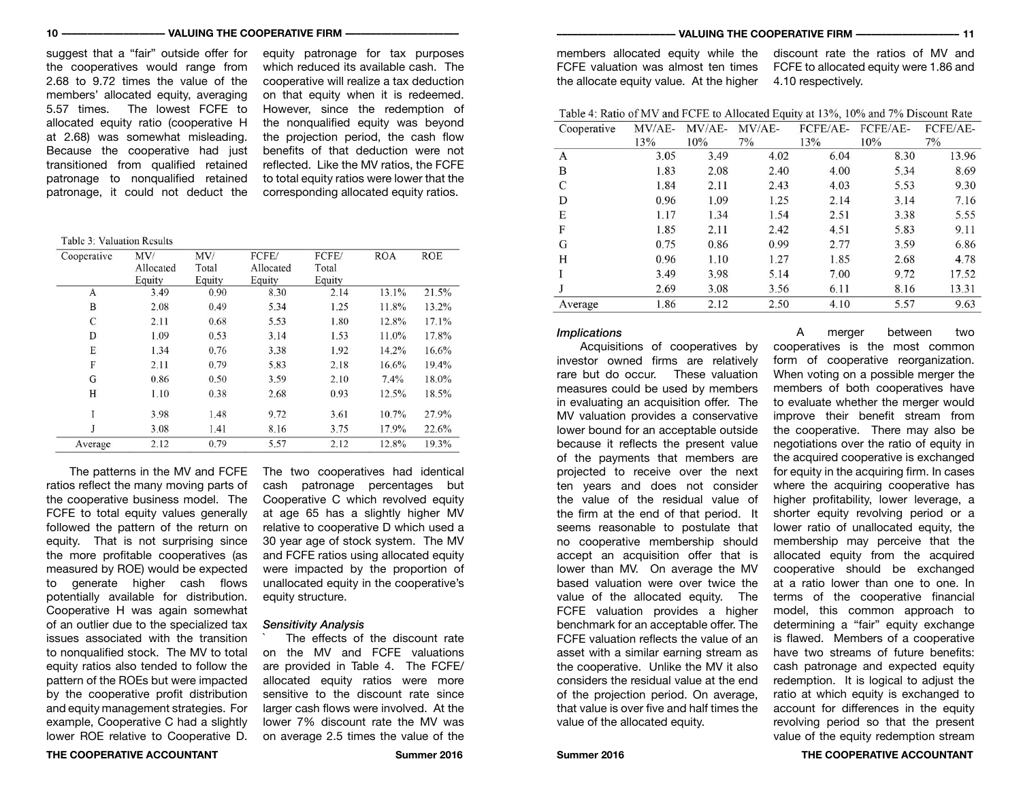#### **10 –––––––––––––––––––– VALUING THE COOPERATIVE FIRM –––––––––––––––––––––– ––––––––––––––––––––––– VALUING THE COOPERATIVE FIRM –––––––––––––––––––– 11**

suggest that a "fair" outside offer for the cooperatives would range from 2.68 to 9.72 times the value of the members' allocated equity, averaging 5.57 times. The lowest FCFE to allocated equity ratio (cooperative H at 2.68) was somewhat misleading. Because the cooperative had just transitioned from qualified retained patronage to nonqualified retained patronage, it could not deduct the

equity patronage for tax purposes which reduced its available cash. The cooperative will realize a tax deduction on that equity when it is redeemed. However, since the redemption of the nonqualified equity was beyond the projection period, the cash flow benefits of that deduction were not reflected. Like the MV ratios, the FCFE to total equity ratios were lower that the corresponding allocated equity ratios.

Table 3: Valuation Results

| Cooperative | MV/       | MV/    | FCFE/     | FCFE/  | <b>ROA</b> | <b>ROE</b> |
|-------------|-----------|--------|-----------|--------|------------|------------|
|             | Allocated | Total  | Allocated | Total  |            |            |
|             | Equity    | Equity | Equity    | Equity |            |            |
| A           | 3.49      | 0.90   | 8.30      | 2.14   | 13.1%      | 21.5%      |
| B           | 2.08      | 0.49   | 5.34      | 1.25   | 11.8%      | 13.2%      |
| C           | 2.11      | 0.68   | 5.53      | 1.80   | 12.8%      | 17.1%      |
| D           | 1.09      | 0.53   | 3.14      | 1.53   | 11.0%      | 17.8%      |
| E           | 1.34      | 0.76   | 3.38      | 1.92   | 14.2%      | 16.6%      |
| F           | 2.11      | 0.79   | 5.83      | 2.18   | 16.6%      | 19.4%      |
| G           | 0.86      | 0.50   | 3.59      | 2.10   | 7.4%       | 18.0%      |
| H           | 1.10      | 0.38   | 2.68      | 0.93   | 12.5%      | 18.5%      |
|             | 3.98      | 1.48   | 9.72      | 3.61   | 10.7%      | 27.9%      |
|             | 3.08      | 1.41   | 8.16      | 3.75   | 17.9%      | 22.6%      |
| Average     | 2.12      | 0.79   | 5.57      | 2.12   | 12.8%      | 19.3%      |

The patterns in the MV and FCFE ratios reflect the many moving parts of the cooperative business model. The FCFE to total equity values generally followed the pattern of the return on equity. That is not surprising since the more profitable cooperatives (as measured by ROE) would be expected to generate higher cash flows potentially available for distribution. Cooperative H was again somewhat of an outlier due to the specialized tax issues associated with the transition to nonqualified stock. The MV to total equity ratios also tended to follow the pattern of the ROEs but were impacted by the cooperative profit distribution and equity management strategies. For example, Cooperative C had a slightly lower ROE relative to Cooperative D.

The two cooperatives had identical cash patronage percentages but Cooperative C which revolved equity at age 65 has a slightly higher MV relative to cooperative D which used a 30 year age of stock system. The MV and FCFE ratios using allocated equity were impacted by the proportion of unallocated equity in the cooperative's equity structure.

#### *Sensitivity Analysis*

The effects of the discount rate on the MV and FCFE valuations are provided in Table 4. The FCFE/ allocated equity ratios were more sensitive to the discount rate since larger cash flows were involved. At the lower 7% discount rate the MV was on average 2.5 times the value of the

members allocated equity while the FCFE valuation was almost ten times the allocate equity value. At the higher discount rate the ratios of MV and FCFE to allocated equity were 1.86 and 4.10 respectively.

Table 4: Ratio of MV and FCFE to Allocated Equity at 13%, 10% and 7% Discount Rate  $C$ conomius  $MV/AF = MV/AF = TY/AF = FCFF/AF = FCFF/AF = FCFF/AF$ 

| Cooperative | $N/V/AL^-$ | N/V/AL | M V/AL | LCLIAL- | LCLIAL- | LCLIAL- |
|-------------|------------|--------|--------|---------|---------|---------|
|             | 13%        | 10%    | $7\%$  | 13%     | 10%     | 7%      |
| A           | 3.05       | 3.49   | 4.02   | 6.04    | 8.30    | 13.96   |
| B           | 1.83       | 2.08   | 2.40   | 4.00    | 5.34    | 8.69    |
| C           | 1.84       | 2.11   | 2.43   | 4.03    | 5.53    | 9.30    |
| D           | 0.96       | 1.09   | 1.25   | 2.14    | 3.14    | 7.16    |
| E           | 1.17       | 1.34   | 1.54   | 2.51    | 3.38    | 5.55    |
| F           | 1.85       | 2.11   | 2.42   | 4.51    | 5.83    | 9.11    |
| G           | 0.75       | 0.86   | 0.99   | 2.77    | 3.59    | 6.86    |
| Н           | 0.96       | 1.10   | 1.27   | 1.85    | 2.68    | 4.78    |
|             | 3.49       | 3.98   | 5.14   | 7.00    | 9.72    | 17.52   |
|             | 2.69       | 3.08   | 3.56   | 6.11    | 8.16    | 13.31   |
| Average     | 1.86       | 2.12   | 2.50   | 4.10    | 5.57    | 9.63    |

### *Implications*

Acquisitions of cooperatives by investor owned firms are relatively rare but do occur. These valuation measures could be used by members in evaluating an acquisition offer. The MV valuation provides a conservative lower bound for an acceptable outside because it reflects the present value of the payments that members are projected to receive over the next ten years and does not consider the value of the residual value of the firm at the end of that period. It seems reasonable to postulate that no cooperative membership should accept an acquisition offer that is lower than MV. On average the MV based valuation were over twice the value of the allocated equity. The FCFE valuation provides a higher benchmark for an acceptable offer. The FCFE valuation reflects the value of an asset with a similar earning stream as the cooperative. Unlike the MV it also considers the residual value at the end of the projection period. On average, that value is over five and half times the value of the allocated equity.

A merger between two cooperatives is the most common form of cooperative reorganization. When voting on a possible merger the members of both cooperatives have to evaluate whether the merger would improve their benefit stream from the cooperative. There may also be negotiations over the ratio of equity in the acquired cooperative is exchanged for equity in the acquiring firm. In cases where the acquiring cooperative has higher profitability, lower leverage, a shorter equity revolving period or a lower ratio of unallocated equity, the membership may perceive that the allocated equity from the acquired cooperative should be exchanged at a ratio lower than one to one. In terms of the cooperative financial model, this common approach to determining a "fair" equity exchange is flawed. Members of a cooperative have two streams of future benefits: cash patronage and expected equity redemption. It is logical to adjust the ratio at which equity is exchanged to account for differences in the equity revolving period so that the present value of the equity redemption stream